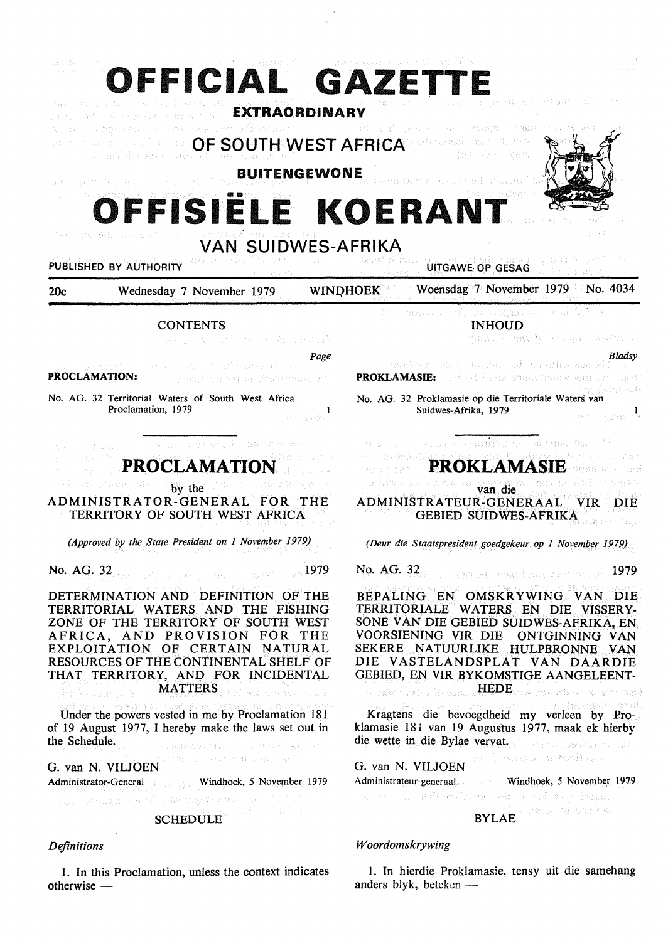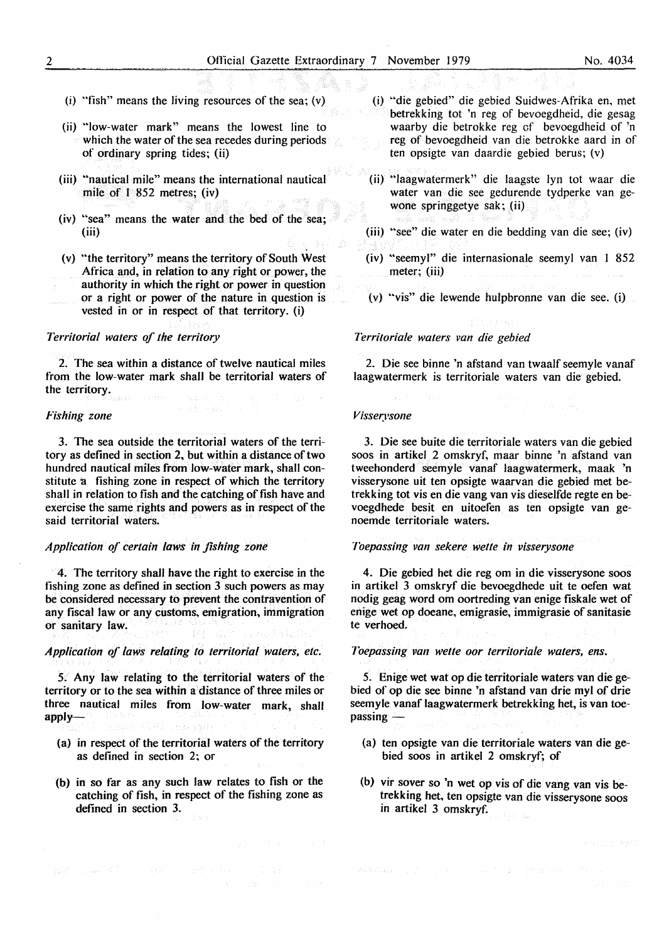- (i) "fish" means the living resources of the sea; (v)
- (ii) "low-water mark" means the lowest line to which the water of the sea recedes during periods of ordinary spring tides; (ii)
- (iii) "nautical mile" means the international nautical mile of I 852 metres; (iv)
- $(iv)$  "sea" means the water and the bed of the sea; (iii)
- (v) "the territory" means the territory of South West Africa and, in relation to any right or power, the authority in which the right or power in question
- or a right or power of the nature in question is vested in or in respect of that territory. (i)

## *Territorial waters of the territory*

2. The sea within a distance of twelve nautical miles from the low-water mark shall be territorial waters of the territory.

#### *Fishing zone*

3. The sea outside the territorial waters of the territory as defined in section 2, but within a distance of two hundred nautical miles from low-water mark, shall constitute a fishing zone in respect of which the territory shall in relation to fish and the catching of fish have and exercise the same rights and powers as in respect of the said territorial waters.

# *Application of certain laws in fishing zone*

4. The territory shall have the right to exercise in the fishing zone as defined in section 3 such powers as may be considered necessary to prevent the contravention of any fiscal law or any customs, emigration, immigration or sanitary law.

## *Application of laws relating to territorial waters, etc.*

*5.* Any Jaw relating to the territorial waters of the territory or to the sea within a distance of three miles or three nautical miles from low-water mark, shall  $apply-$ Charles Mark

- (a} in respect of the territorial waters of the territory as defined in section 2; or
- (b) in so far as any such law relates to fish or the catching of fish, in respect of the fishing zone as defined in section 3.

Apart of the American control of the American State

- (i) "die gebied" die gebied Suidwes-Afrika en, met betrekking tot 'n reg of bevoegdheid, die gesag waarby die betrokke reg of bevoegdheid of 'n reg of bevoegdheid van die betrokke aard in of ten opsigte van daardie gebied berus; (v)
- (ii) "laagwatermerk" die laagste lyn tot waar die water van die see gedurende tydperke van gewone springgetye sak; (ii)
- (iii) "see" die water en die bedding van die see; (iv)
- (iv) "seemyl" die internasionale seemyl van 1 852 meter; (iii)
- (v) "vis" die lewende hulpbronne van die see. (i)

# *Territoriale waters van die gebied*

2. Die see binne 'n afstand van twaalf seemyle vanaf laagwatermerk is territoriale waters van die gebied.

#### $V$ *isserysone*

3. Die see buite die territoriale waters van die gebied soos in artikel 2 omskryf, maar binne 'n afstand van tweehonderd seemyle vanaf laagwatermerk, maak 'n visserysone uit ten opsigte waarvan die gebied met betrekking tot vis en die vang van vis dieselfde regte en bevoegdhede besit en uitoefen as ten opsigte van genoemde territoriale waters.

## *Toepassi11g van sekere wette in visserysone*

4. Die gebied het die reg om in die visserysone soos in artikel 3 omskryf die bevoegdhede uit te oefen wat nodig geag word om oortreding van enige fiskale wet of enige wet op doeane, emigrasie, immigrasie of sanitasie te verhoed.

*Toepassing van wette oor territoriale waters, ens.* 

*5.* Enige wet wat op die territoriale waters van die gebied of op die see binne 'n afstand van drie myl of drie seemyle vanaf laagwatermerk betrekking het, is van toe $passing -$ 

- (a) ten opsigte van die territoriale waters van die gebied soos in artikel 2 omskryf; of
- (b) vir sover so 'n wet op vis of die vang van vis betrekking bet, ten opsigte van die visserysone soos in artikel 3 omskryf.